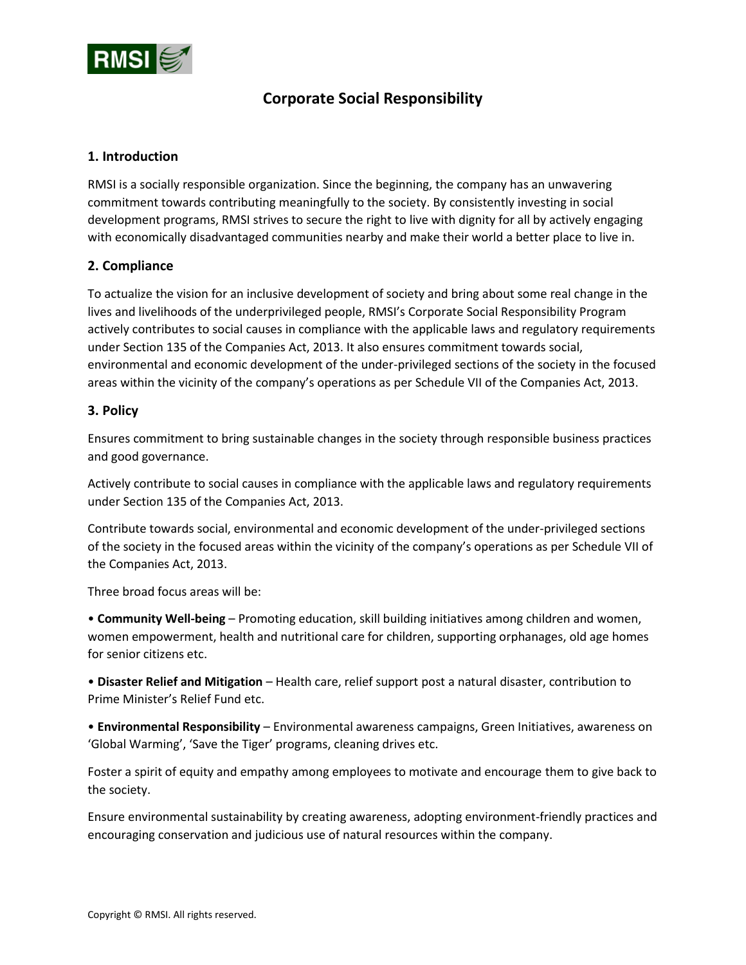

# **Corporate Social Responsibility**

### **1. Introduction**

RMSI is a socially responsible organization. Since the beginning, the company has an unwavering commitment towards contributing meaningfully to the society. By consistently investing in social development programs, RMSI strives to secure the right to live with dignity for all by actively engaging with economically disadvantaged communities nearby and make their world a better place to live in.

#### **2. Compliance**

To actualize the vision for an inclusive development of society and bring about some real change in the lives and livelihoods of the underprivileged people, RMSI's Corporate Social Responsibility Program actively contributes to social causes in compliance with the applicable laws and regulatory requirements under Section 135 of the Companies Act, 2013. It also ensures commitment towards social, environmental and economic development of the under-privileged sections of the society in the focused areas within the vicinity of the company's operations as per Schedule VII of the Companies Act, 2013.

### **3. Policy**

Ensures commitment to bring sustainable changes in the society through responsible business practices and good governance.

Actively contribute to social causes in compliance with the applicable laws and regulatory requirements under Section 135 of the Companies Act, 2013.

Contribute towards social, environmental and economic development of the under-privileged sections of the society in the focused areas within the vicinity of the company's operations as per Schedule VII of the Companies Act, 2013.

Three broad focus areas will be:

• **Community Well-being** – Promoting education, skill building initiatives among children and women, women empowerment, health and nutritional care for children, supporting orphanages, old age homes for senior citizens etc.

• **Disaster Relief and Mitigation** – Health care, relief support post a natural disaster, contribution to Prime Minister's Relief Fund etc.

• **Environmental Responsibility** – Environmental awareness campaigns, Green Initiatives, awareness on 'Global Warming', 'Save the Tiger' programs, cleaning drives etc.

Foster a spirit of equity and empathy among employees to motivate and encourage them to give back to the society.

Ensure environmental sustainability by creating awareness, adopting environment-friendly practices and encouraging conservation and judicious use of natural resources within the company.